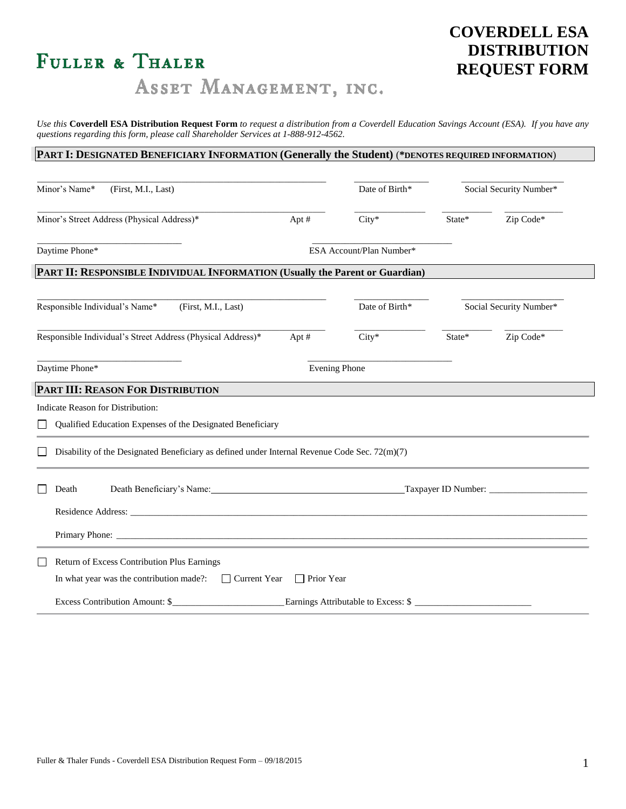# FULLER & THALER

# **COVERDELL ESA DISTRIBUTION REQUEST FORM**

ASSET MANAGEMENT, INC.

*Use this* **Coverdell ESA Distribution Request Form** *to request a distribution from a Coverdell Education Savings Account (ESA). If you have any questions regarding this form, please call Shareholder Services at 1-888-912-4562.*

# **PART I: DESIGNATED BENEFICIARY INFORMATION (Generally the Student)** (**\*DENOTES REQUIRED INFORMATION**)

| Minor's Name*<br>(First, M.I., Last)                                                            |                                   | Date of Birth*                      |        | Social Security Number* |
|-------------------------------------------------------------------------------------------------|-----------------------------------|-------------------------------------|--------|-------------------------|
| Minor's Street Address (Physical Address)*                                                      | Apt#                              | $City*$                             | State* | Zip Code*               |
| Daytime Phone*                                                                                  | ESA Account/Plan Number*          |                                     |        |                         |
| PART II: RESPONSIBLE INDIVIDUAL INFORMATION (Usually the Parent or Guardian)                    |                                   |                                     |        |                         |
| Responsible Individual's Name*<br>(First, M.I., Last)                                           |                                   | Date of Birth*                      |        | Social Security Number* |
| Responsible Individual's Street Address (Physical Address)*                                     | Apt#                              | $City*$                             | State* | Zip Code*               |
| Daytime Phone*                                                                                  |                                   | <b>Evening Phone</b>                |        |                         |
| PART III: REASON FOR DISTRIBUTION                                                               |                                   |                                     |        |                         |
| Indicate Reason for Distribution:                                                               |                                   |                                     |        |                         |
| Qualified Education Expenses of the Designated Beneficiary                                      |                                   |                                     |        |                         |
| Disability of the Designated Beneficiary as defined under Internal Revenue Code Sec. $72(m)(7)$ |                                   |                                     |        |                         |
| Death Beneficiary's Name:<br>Death                                                              |                                   |                                     |        |                         |
|                                                                                                 |                                   |                                     |        |                         |
|                                                                                                 |                                   |                                     |        |                         |
| Return of Excess Contribution Plus Earnings                                                     |                                   |                                     |        |                         |
| In what year was the contribution made?:<br>$\mathsf{L}$                                        | Current Year<br>$\Box$ Prior Year |                                     |        |                         |
| Excess Contribution Amount: \$                                                                  |                                   | Earnings Attributable to Excess: \$ |        |                         |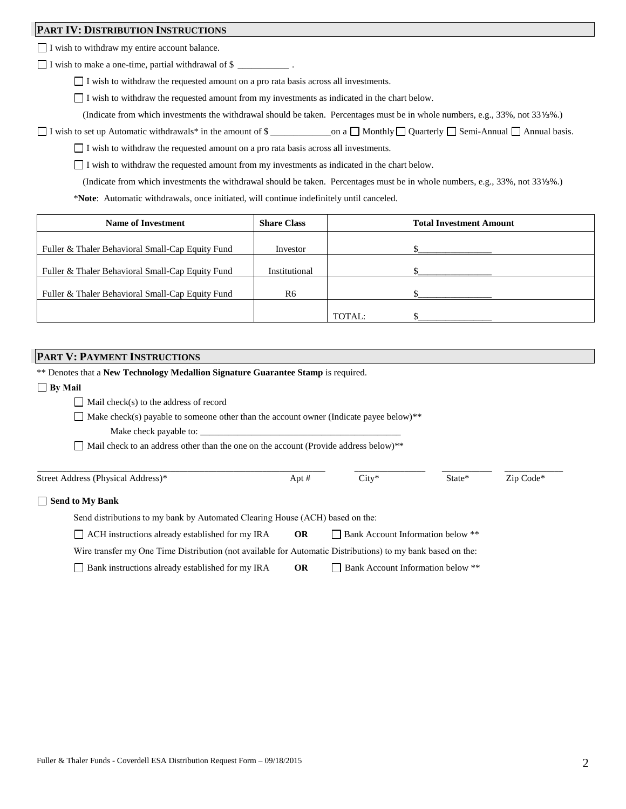## **PART IV: DISTRIBUTION INSTRUCTIONS**

I wish to withdraw my entire account balance.

I wish to make a one-time, partial withdrawal of \$ \_\_\_\_\_\_\_\_\_\_\_ .

I wish to withdraw the requested amount on a pro rata basis across all investments.

I wish to withdraw the requested amount from my investments as indicated in the chart below.

(Indicate from which investments the withdrawal should be taken. Percentages must be in whole numbers, e.g., 33%, not 33⅓%.)

 $\Box$  I wish to set up Automatic withdrawals\* in the amount of \$ \_\_\_\_\_\_\_\_\_\_\_\_\_\_\_on a  $\Box$  Monthly  $\Box$  Quarterly  $\Box$  Semi-Annual  $\Box$  Annual basis.

 $\Box$  I wish to withdraw the requested amount on a pro rata basis across all investments.

 $\Box$  I wish to withdraw the requested amount from my investments as indicated in the chart below.

(Indicate from which investments the withdrawal should be taken. Percentages must be in whole numbers, e.g., 33%, not 33⅓%.)

\***Note**: Automatic withdrawals, once initiated, will continue indefinitely until canceled.

| <b>Name of Investment</b>                        | <b>Share Class</b> |        | <b>Total Investment Amount</b> |
|--------------------------------------------------|--------------------|--------|--------------------------------|
| Fuller & Thaler Behavioral Small-Cap Equity Fund | Investor           |        |                                |
| Fuller & Thaler Behavioral Small-Cap Equity Fund | Institutional      |        |                                |
| Fuller & Thaler Behavioral Small-Cap Equity Fund | R6                 |        |                                |
|                                                  |                    | TOTAL: |                                |

# **PART V: PAYMENT INSTRUCTIONS**

| ** Denotes that a New Technology Medallion Signature Guarantee Stamp is required.                           |           |                                          |        |           |
|-------------------------------------------------------------------------------------------------------------|-----------|------------------------------------------|--------|-----------|
| $\Box$ By Mail                                                                                              |           |                                          |        |           |
| Mail check(s) to the address of record                                                                      |           |                                          |        |           |
| $\Box$ Make check(s) payable to someone other than the account owner (Indicate payee below) <sup>**</sup>   |           |                                          |        |           |
| Make check payable to:                                                                                      |           |                                          |        |           |
| Mail check to an address other than the one on the account (Provide address below) <sup>**</sup>            |           |                                          |        |           |
|                                                                                                             |           |                                          |        |           |
| Street Address (Physical Address)*                                                                          | Apt $#$   | $City*$                                  | State* | Zip Code* |
| <b>Send to My Bank</b><br>$\mathsf{L}$                                                                      |           |                                          |        |           |
| Send distributions to my bank by Automated Clearing House (ACH) based on the:                               |           |                                          |        |           |
| ACH instructions already established for my IRA                                                             | <b>OR</b> | <b>Bank Account Information below **</b> |        |           |
| Wire transfer my One Time Distribution (not available for Automatic Distributions) to my bank based on the: |           |                                          |        |           |
| Bank instructions already established for my IRA                                                            | <b>OR</b> | Bank Account Information below **        |        |           |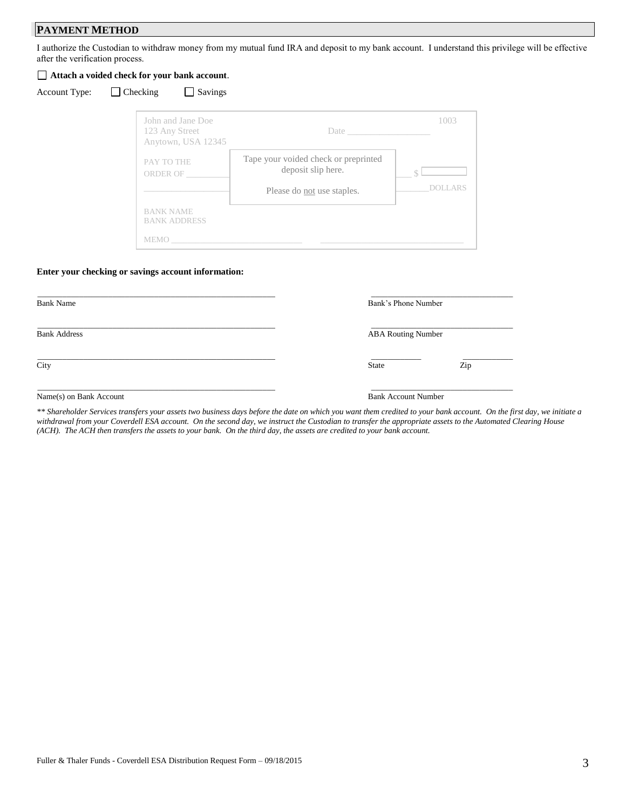# **PAYMENT METHOD**

I authorize the Custodian to withdraw money from my mutual fund IRA and deposit to my bank account. I understand this privilege will be effective after the verification process.

#### **Attach a voided check for your bank account**.

| <b>Account Type</b> |  |
|---------------------|--|
|                     |  |

 $\Box$  Checking  $\Box$  Savings

| John and Jane Doe<br>123 Any Street<br>Anytown, USA 12345 | Date $\_\_$                                                                              | 1003                |
|-----------------------------------------------------------|------------------------------------------------------------------------------------------|---------------------|
| PAY TO THE<br>ORDER OF                                    | Tape your voided check or preprinted<br>deposit slip here.<br>Please do not use staples. | DOLLAR <sub>s</sub> |
| <b>BANK NAME</b><br><b>BANK ADDRESS</b><br><b>MEMO</b>    |                                                                                          |                     |

#### **Enter your checking or savings account information:**

| <b>Bank Name</b>        |              | Bank's Phone Number<br><b>ABA Routing Number</b> |  |
|-------------------------|--------------|--------------------------------------------------|--|
| <b>Bank Address</b>     |              |                                                  |  |
| City                    | <b>State</b> | Zip                                              |  |
| Name(s) on Bank Account |              | <b>Bank Account Number</b>                       |  |

*\*\* Shareholder Services transfers your assets two business days before the date on which you want them credited to your bank account. On the first day, we initiate a withdrawal from your Coverdell ESA account. On the second day, we instruct the Custodian to transfer the appropriate assets to the Automated Clearing House (ACH). The ACH then transfers the assets to your bank. On the third day, the assets are credited to your bank account.*